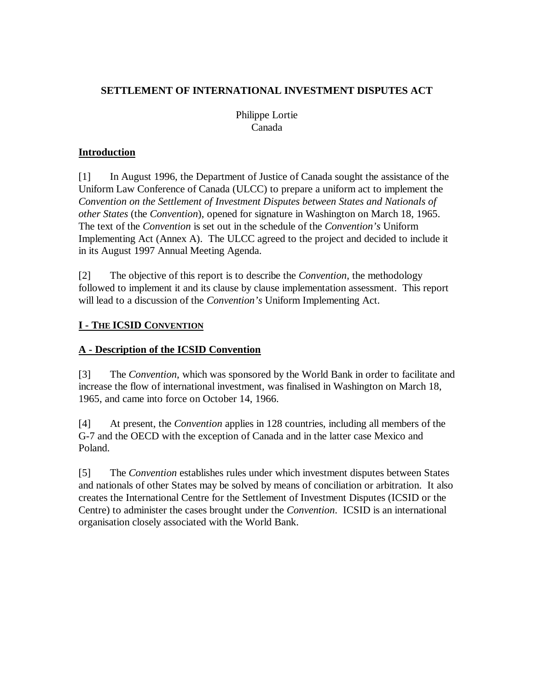Philippe Lortie Canada

### **Introduction**

[1] In August 1996, the Department of Justice of Canada sought the assistance of the Uniform Law Conference of Canada (ULCC) to prepare a uniform act to implement the *Convention on the Settlement of Investment Disputes between States and Nationals of other States* (the *Convention*), opened for signature in Washington on March 18, 1965. The text of the *Convention* is set out in the schedule of the *Convention's* Uniform Implementing Act (Annex A). The ULCC agreed to the project and decided to include it in its August 1997 Annual Meeting Agenda.

[2] The objective of this report is to describe the *Convention*, the methodology followed to implement it and its clause by clause implementation assessment. This report will lead to a discussion of the *Convention's* Uniform Implementing Act.

# **I - THE ICSID CONVENTION**

# **A - Description of the ICSID Convention**

[3] The *Convention*, which was sponsored by the World Bank in order to facilitate and increase the flow of international investment, was finalised in Washington on March 18, 1965, and came into force on October 14, 1966.

[4] At present, the *Convention* applies in 128 countries, including all members of the G-7 and the OECD with the exception of Canada and in the latter case Mexico and Poland.

[5] The *Convention* establishes rules under which investment disputes between States and nationals of other States may be solved by means of conciliation or arbitration. It also creates the International Centre for the Settlement of Investment Disputes (ICSID or the Centre) to administer the cases brought under the *Convention*. ICSID is an international organisation closely associated with the World Bank.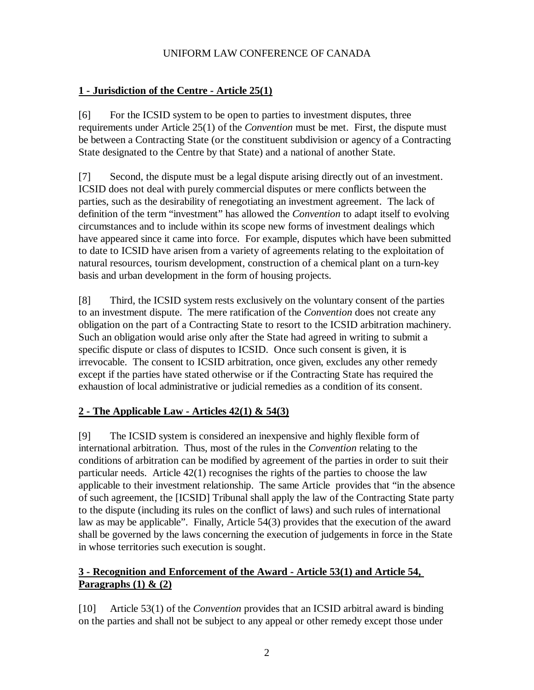## **1 - Jurisdiction of the Centre - Article 25(1)**

[6] For the ICSID system to be open to parties to investment disputes, three requirements under Article 25(1) of the *Convention* must be met. First, the dispute must be between a Contracting State (or the constituent subdivision or agency of a Contracting State designated to the Centre by that State) and a national of another State.

[7] Second, the dispute must be a legal dispute arising directly out of an investment. ICSID does not deal with purely commercial disputes or mere conflicts between the parties, such as the desirability of renegotiating an investment agreement. The lack of definition of the term "investment" has allowed the *Convention* to adapt itself to evolving circumstances and to include within its scope new forms of investment dealings which have appeared since it came into force. For example, disputes which have been submitted to date to ICSID have arisen from a variety of agreements relating to the exploitation of natural resources, tourism development, construction of a chemical plant on a turn-key basis and urban development in the form of housing projects.

[8] Third, the ICSID system rests exclusively on the voluntary consent of the parties to an investment dispute. The mere ratification of the *Convention* does not create any obligation on the part of a Contracting State to resort to the ICSID arbitration machinery. Such an obligation would arise only after the State had agreed in writing to submit a specific dispute or class of disputes to ICSID. Once such consent is given, it is irrevocable. The consent to ICSID arbitration, once given, excludes any other remedy except if the parties have stated otherwise or if the Contracting State has required the exhaustion of local administrative or judicial remedies as a condition of its consent.

# **2 - The Applicable Law - Articles 42(1) & 54(3)**

[9] The ICSID system is considered an inexpensive and highly flexible form of international arbitration. Thus, most of the rules in the *Convention* relating to the conditions of arbitration can be modified by agreement of the parties in order to suit their particular needs. Article 42(1) recognises the rights of the parties to choose the law applicable to their investment relationship. The same Article provides that "in the absence of such agreement, the [ICSID] Tribunal shall apply the law of the Contracting State party to the dispute (including its rules on the conflict of laws) and such rules of international law as may be applicable". Finally, Article 54(3) provides that the execution of the award shall be governed by the laws concerning the execution of judgements in force in the State in whose territories such execution is sought.

# **3 - Recognition and Enforcement of the Award - Article 53(1) and Article 54, Paragraphs (1) & (2)**

[10] Article 53(1) of the *Convention* provides that an ICSID arbitral award is binding on the parties and shall not be subject to any appeal or other remedy except those under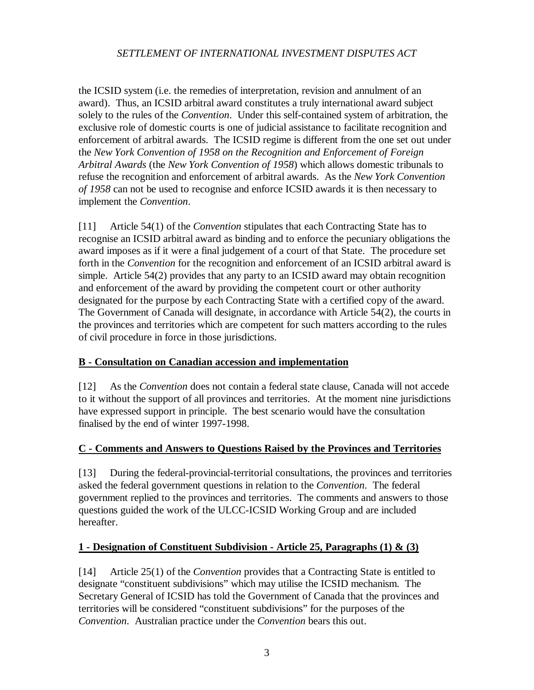the ICSID system (i.e. the remedies of interpretation, revision and annulment of an award). Thus, an ICSID arbitral award constitutes a truly international award subject solely to the rules of the *Convention*. Under this self-contained system of arbitration, the exclusive role of domestic courts is one of judicial assistance to facilitate recognition and enforcement of arbitral awards. The ICSID regime is different from the one set out under the *New York Convention of 1958 on the Recognition and Enforcement of Foreign Arbitral Awards* (the *New York Convention of 1958*) which allows domestic tribunals to refuse the recognition and enforcement of arbitral awards. As the *New York Convention of 1958* can not be used to recognise and enforce ICSID awards it is then necessary to implement the *Convention*.

[11] Article 54(1) of the *Convention* stipulates that each Contracting State has to recognise an ICSID arbitral award as binding and to enforce the pecuniary obligations the award imposes as if it were a final judgement of a court of that State. The procedure set forth in the *Convention* for the recognition and enforcement of an ICSID arbitral award is simple. Article 54(2) provides that any party to an ICSID award may obtain recognition and enforcement of the award by providing the competent court or other authority designated for the purpose by each Contracting State with a certified copy of the award. The Government of Canada will designate, in accordance with Article 54(2), the courts in the provinces and territories which are competent for such matters according to the rules of civil procedure in force in those jurisdictions.

### **B - Consultation on Canadian accession and implementation**

[12] As the *Convention* does not contain a federal state clause, Canada will not accede to it without the support of all provinces and territories. At the moment nine jurisdictions have expressed support in principle. The best scenario would have the consultation finalised by the end of winter 1997-1998.

### **C - Comments and Answers to Questions Raised by the Provinces and Territories**

[13] During the federal-provincial-territorial consultations, the provinces and territories asked the federal government questions in relation to the *Convention*. The federal government replied to the provinces and territories. The comments and answers to those questions guided the work of the ULCC-ICSID Working Group and are included hereafter.

### **1 - Designation of Constituent Subdivision - Article 25, Paragraphs (1) & (3)**

[14] Article 25(1) of the *Convention* provides that a Contracting State is entitled to designate "constituent subdivisions" which may utilise the ICSID mechanism. The Secretary General of ICSID has told the Government of Canada that the provinces and territories will be considered "constituent subdivisions" for the purposes of the *Convention*. Australian practice under the *Convention* bears this out.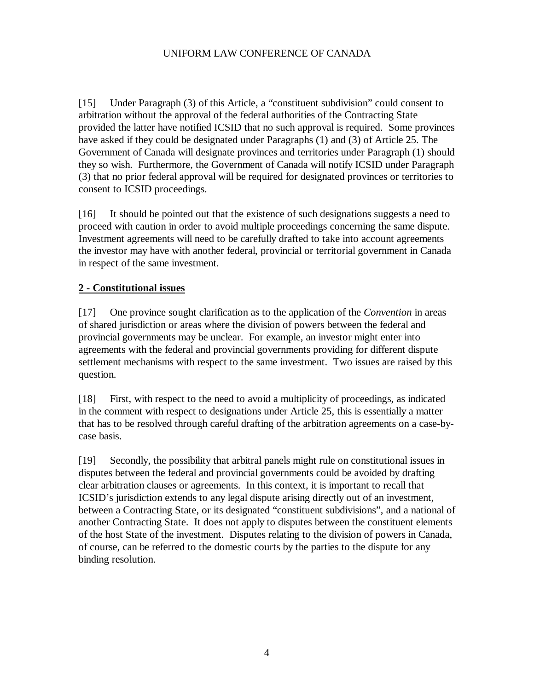[15] Under Paragraph (3) of this Article, a "constituent subdivision" could consent to arbitration without the approval of the federal authorities of the Contracting State provided the latter have notified ICSID that no such approval is required. Some provinces have asked if they could be designated under Paragraphs (1) and (3) of Article 25. The Government of Canada will designate provinces and territories under Paragraph (1) should they so wish. Furthermore, the Government of Canada will notify ICSID under Paragraph (3) that no prior federal approval will be required for designated provinces or territories to consent to ICSID proceedings.

[16] It should be pointed out that the existence of such designations suggests a need to proceed with caution in order to avoid multiple proceedings concerning the same dispute. Investment agreements will need to be carefully drafted to take into account agreements the investor may have with another federal, provincial or territorial government in Canada in respect of the same investment.

## **2 - Constitutional issues**

[17] One province sought clarification as to the application of the *Convention* in areas of shared jurisdiction or areas where the division of powers between the federal and provincial governments may be unclear. For example, an investor might enter into agreements with the federal and provincial governments providing for different dispute settlement mechanisms with respect to the same investment. Two issues are raised by this question.

[18] First, with respect to the need to avoid a multiplicity of proceedings, as indicated in the comment with respect to designations under Article 25, this is essentially a matter that has to be resolved through careful drafting of the arbitration agreements on a case-bycase basis.

[19] Secondly, the possibility that arbitral panels might rule on constitutional issues in disputes between the federal and provincial governments could be avoided by drafting clear arbitration clauses or agreements. In this context, it is important to recall that ICSID's jurisdiction extends to any legal dispute arising directly out of an investment, between a Contracting State, or its designated "constituent subdivisions", and a national of another Contracting State. It does not apply to disputes between the constituent elements of the host State of the investment. Disputes relating to the division of powers in Canada, of course, can be referred to the domestic courts by the parties to the dispute for any binding resolution.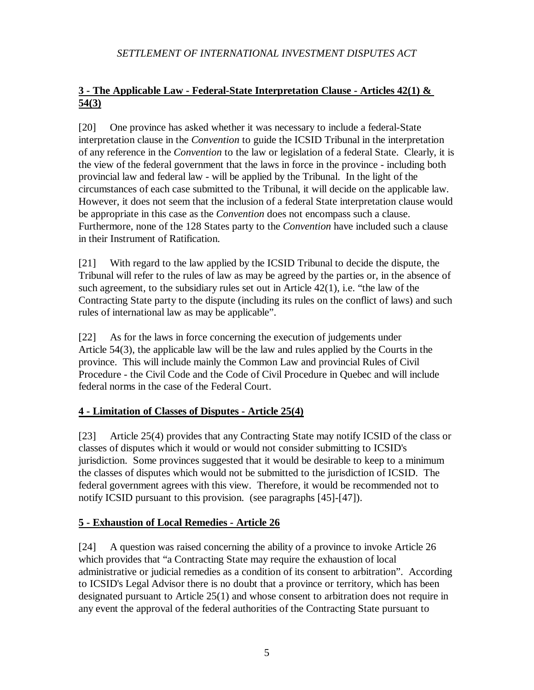# **3 - The Applicable Law - Federal-State Interpretation Clause - Articles 42(1) & 54(3)**

[20] One province has asked whether it was necessary to include a federal-State interpretation clause in the *Convention* to guide the ICSID Tribunal in the interpretation of any reference in the *Convention* to the law or legislation of a federal State. Clearly, it is the view of the federal government that the laws in force in the province - including both provincial law and federal law - will be applied by the Tribunal. In the light of the circumstances of each case submitted to the Tribunal, it will decide on the applicable law. However, it does not seem that the inclusion of a federal State interpretation clause would be appropriate in this case as the *Convention* does not encompass such a clause. Furthermore, none of the 128 States party to the *Convention* have included such a clause in their Instrument of Ratification.

[21] With regard to the law applied by the ICSID Tribunal to decide the dispute, the Tribunal will refer to the rules of law as may be agreed by the parties or, in the absence of such agreement, to the subsidiary rules set out in Article 42(1), i.e. "the law of the Contracting State party to the dispute (including its rules on the conflict of laws) and such rules of international law as may be applicable".

[22] As for the laws in force concerning the execution of judgements under Article 54(3), the applicable law will be the law and rules applied by the Courts in the province. This will include mainly the Common Law and provincial Rules of Civil Procedure - the Civil Code and the Code of Civil Procedure in Quebec and will include federal norms in the case of the Federal Court.

# **4 - Limitation of Classes of Disputes - Article 25(4)**

[23] Article 25(4) provides that any Contracting State may notify ICSID of the class or classes of disputes which it would or would not consider submitting to ICSID's jurisdiction. Some provinces suggested that it would be desirable to keep to a minimum the classes of disputes which would not be submitted to the jurisdiction of ICSID. The federal government agrees with this view. Therefore, it would be recommended not to notify ICSID pursuant to this provision. (see paragraphs [45]-[47]).

# **5 - Exhaustion of Local Remedies - Article 26**

[24] A question was raised concerning the ability of a province to invoke Article 26 which provides that "a Contracting State may require the exhaustion of local administrative or judicial remedies as a condition of its consent to arbitration". According to ICSID's Legal Advisor there is no doubt that a province or territory, which has been designated pursuant to Article 25(1) and whose consent to arbitration does not require in any event the approval of the federal authorities of the Contracting State pursuant to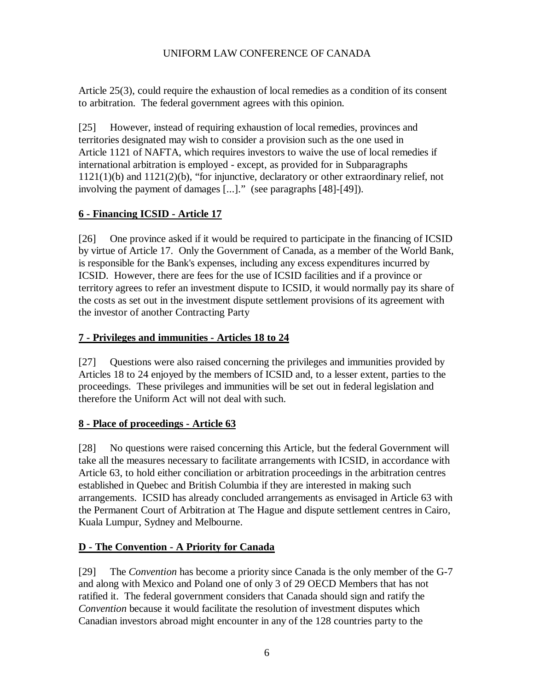Article 25(3), could require the exhaustion of local remedies as a condition of its consent to arbitration. The federal government agrees with this opinion.

[25] However, instead of requiring exhaustion of local remedies, provinces and territories designated may wish to consider a provision such as the one used in Article 1121 of NAFTA, which requires investors to waive the use of local remedies if international arbitration is employed - except, as provided for in Subparagraphs 1121(1)(b) and 1121(2)(b), "for injunctive, declaratory or other extraordinary relief, not involving the payment of damages [...]." (see paragraphs [48]-[49]).

# **6 - Financing ICSID - Article 17**

[26] One province asked if it would be required to participate in the financing of ICSID by virtue of Article 17. Only the Government of Canada, as a member of the World Bank, is responsible for the Bank's expenses, including any excess expenditures incurred by ICSID. However, there are fees for the use of ICSID facilities and if a province or territory agrees to refer an investment dispute to ICSID, it would normally pay its share of the costs as set out in the investment dispute settlement provisions of its agreement with the investor of another Contracting Party

# **7 - Privileges and immunities - Articles 18 to 24**

[27] Questions were also raised concerning the privileges and immunities provided by Articles 18 to 24 enjoyed by the members of ICSID and, to a lesser extent, parties to the proceedings. These privileges and immunities will be set out in federal legislation and therefore the Uniform Act will not deal with such.

# **8 - Place of proceedings - Article 63**

[28] No questions were raised concerning this Article, but the federal Government will take all the measures necessary to facilitate arrangements with ICSID, in accordance with Article 63, to hold either conciliation or arbitration proceedings in the arbitration centres established in Quebec and British Columbia if they are interested in making such arrangements. ICSID has already concluded arrangements as envisaged in Article 63 with the Permanent Court of Arbitration at The Hague and dispute settlement centres in Cairo, Kuala Lumpur, Sydney and Melbourne.

# **D - The Convention - A Priority for Canada**

[29] The *Convention* has become a priority since Canada is the only member of the G-7 and along with Mexico and Poland one of only 3 of 29 OECD Members that has not ratified it. The federal government considers that Canada should sign and ratify the *Convention* because it would facilitate the resolution of investment disputes which Canadian investors abroad might encounter in any of the 128 countries party to the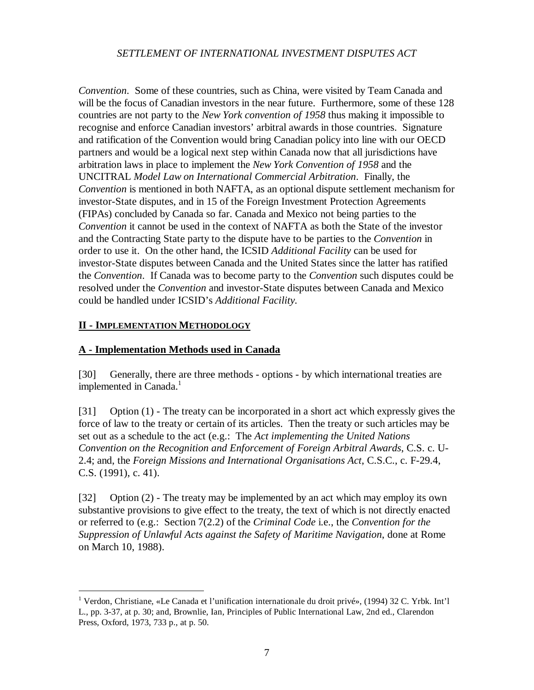*Convention*. Some of these countries, such as China, were visited by Team Canada and will be the focus of Canadian investors in the near future. Furthermore, some of these 128 countries are not party to the *New York convention of 1958* thus making it impossible to recognise and enforce Canadian investors' arbitral awards in those countries. Signature and ratification of the Convention would bring Canadian policy into line with our OECD partners and would be a logical next step within Canada now that all jurisdictions have arbitration laws in place to implement the *New York Convention of 1958* and the UNCITRAL *Model Law on International Commercial Arbitration*. Finally, the *Convention* is mentioned in both NAFTA, as an optional dispute settlement mechanism for investor-State disputes, and in 15 of the Foreign Investment Protection Agreements (FIPAs) concluded by Canada so far. Canada and Mexico not being parties to the *Convention* it cannot be used in the context of NAFTA as both the State of the investor and the Contracting State party to the dispute have to be parties to the *Convention* in order to use it. On the other hand, the ICSID *Additional Facility* can be used for investor-State disputes between Canada and the United States since the latter has ratified the *Convention*. If Canada was to become party to the *Convention* such disputes could be resolved under the *Convention* and investor-State disputes between Canada and Mexico could be handled under ICSID's *Additional Facility.*

### **II - IMPLEMENTATION METHODOLOGY**

#### **A - Implementation Methods used in Canada**

[30] Generally, there are three methods - options - by which international treaties are implemented in Canada.<sup>1</sup>

[31] Option (1) - The treaty can be incorporated in a short act which expressly gives the force of law to the treaty or certain of its articles. Then the treaty or such articles may be set out as a schedule to the act (e.g.: The *Act implementing the United Nations Convention on the Recognition and Enforcement of Foreign Arbitral Awards*, C.S. c. U-2.4; and, the *Foreign Missions and International Organisations Act*, C.S.C., c. F-29.4, C.S. (1991), c. 41).

[32] Option (2) - The treaty may be implemented by an act which may employ its own substantive provisions to give effect to the treaty, the text of which is not directly enacted or referred to (e.g.: Section 7(2.2) of the *Criminal Code* i.e., the *Convention for the Suppression of Unlawful Acts against the Safety of Maritime Navigation*, done at Rome on March 10, 1988).

<sup>1</sup> Verdon, Christiane, «Le Canada et l'unification internationale du droit privé», (1994) 32 C. Yrbk. Int'l L., pp. 3-37, at p. 30; and, Brownlie, Ian, Principles of Public International Law, 2nd ed., Clarendon Press, Oxford, 1973, 733 p., at p. 50.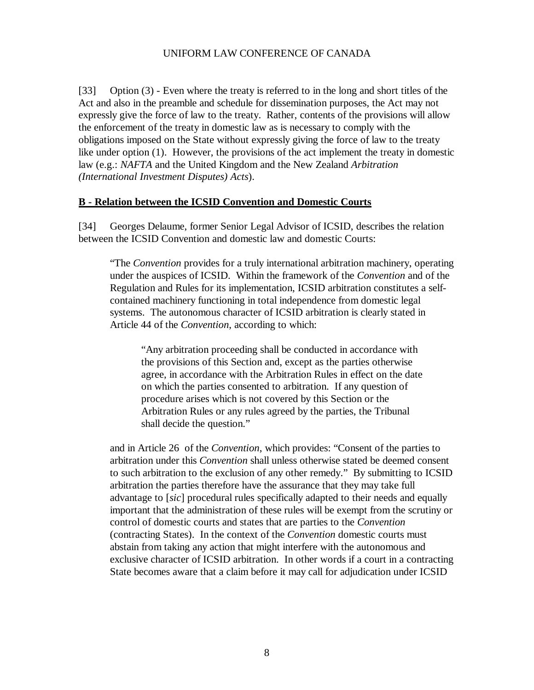[33] Option (3) - Even where the treaty is referred to in the long and short titles of the Act and also in the preamble and schedule for dissemination purposes, the Act may not expressly give the force of law to the treaty. Rather, contents of the provisions will allow the enforcement of the treaty in domestic law as is necessary to comply with the obligations imposed on the State without expressly giving the force of law to the treaty like under option (1). However, the provisions of the act implement the treaty in domestic law (e.g.: *NAFTA* and the United Kingdom and the New Zealand *Arbitration (International Investment Disputes) Acts*).

#### **B - Relation between the ICSID Convention and Domestic Courts**

[34] Georges Delaume, former Senior Legal Advisor of ICSID, describes the relation between the ICSID Convention and domestic law and domestic Courts:

"The *Convention* provides for a truly international arbitration machinery, operating under the auspices of ICSID. Within the framework of the *Convention* and of the Regulation and Rules for its implementation, ICSID arbitration constitutes a selfcontained machinery functioning in total independence from domestic legal systems. The autonomous character of ICSID arbitration is clearly stated in Article 44 of the *Convention*, according to which:

"Any arbitration proceeding shall be conducted in accordance with the provisions of this Section and, except as the parties otherwise agree, in accordance with the Arbitration Rules in effect on the date on which the parties consented to arbitration. If any question of procedure arises which is not covered by this Section or the Arbitration Rules or any rules agreed by the parties, the Tribunal shall decide the question."

and in Article 26 of the *Convention*, which provides: "Consent of the parties to arbitration under this *Convention* shall unless otherwise stated be deemed consent to such arbitration to the exclusion of any other remedy." By submitting to ICSID arbitration the parties therefore have the assurance that they may take full advantage to [*sic*] procedural rules specifically adapted to their needs and equally important that the administration of these rules will be exempt from the scrutiny or control of domestic courts and states that are parties to the *Convention* (contracting States). In the context of the *Convention* domestic courts must abstain from taking any action that might interfere with the autonomous and exclusive character of ICSID arbitration. In other words if a court in a contracting State becomes aware that a claim before it may call for adjudication under ICSID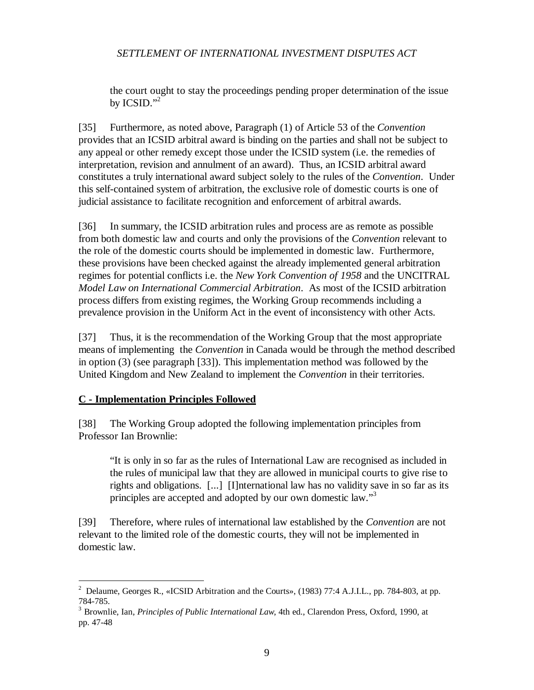the court ought to stay the proceedings pending proper determination of the issue by ICSID." 2

[35] Furthermore, as noted above, Paragraph (1) of Article 53 of the *Convention* provides that an ICSID arbitral award is binding on the parties and shall not be subject to any appeal or other remedy except those under the ICSID system (i.e. the remedies of interpretation, revision and annulment of an award). Thus, an ICSID arbitral award constitutes a truly international award subject solely to the rules of the *Convention*. Under this self-contained system of arbitration, the exclusive role of domestic courts is one of judicial assistance to facilitate recognition and enforcement of arbitral awards.

[36] In summary, the ICSID arbitration rules and process are as remote as possible from both domestic law and courts and only the provisions of the *Convention* relevant to the role of the domestic courts should be implemented in domestic law. Furthermore, these provisions have been checked against the already implemented general arbitration regimes for potential conflicts i.e. the *New York Convention of 1958* and the UNCITRAL *Model Law on International Commercial Arbitration*. As most of the ICSID arbitration process differs from existing regimes, the Working Group recommends including a prevalence provision in the Uniform Act in the event of inconsistency with other Acts.

[37] Thus, it is the recommendation of the Working Group that the most appropriate means of implementing the *Convention* in Canada would be through the method described in option (3) (see paragraph [33]). This implementation method was followed by the United Kingdom and New Zealand to implement the *Convention* in their territories.

#### **C - Implementation Principles Followed**

[38] The Working Group adopted the following implementation principles from Professor Ian Brownlie:

"It is only in so far as the rules of International Law are recognised as included in the rules of municipal law that they are allowed in municipal courts to give rise to rights and obligations. [...] [I]nternational law has no validity save in so far as its principles are accepted and adopted by our own domestic law."<sup>3</sup>

[39] Therefore, where rules of international law established by the *Convention* are not relevant to the limited role of the domestic courts, they will not be implemented in domestic law.

<sup>&</sup>lt;sup>2</sup> Delaume, Georges R., «ICSID Arbitration and the Courts», (1983) 77:4 A.J.I.L., pp. 784-803, at pp. 784-785.

<sup>3</sup> Brownlie, Ian, *Principles of Public International Law*, 4th ed., Clarendon Press, Oxford, 1990, at pp. 47-48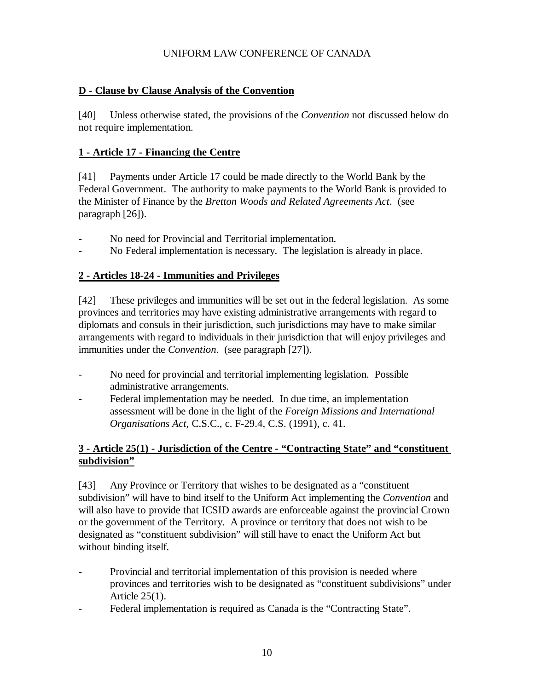### **D - Clause by Clause Analysis of the Convention**

[40] Unless otherwise stated, the provisions of the *Convention* not discussed below do not require implementation.

## **1 - Article 17 - Financing the Centre**

[41] Payments under Article 17 could be made directly to the World Bank by the Federal Government. The authority to make payments to the World Bank is provided to the Minister of Finance by the *Bretton Woods and Related Agreements Act*. (see paragraph [26]).

- No need for Provincial and Territorial implementation.
- No Federal implementation is necessary. The legislation is already in place.

## **2 - Articles 18-24 - Immunities and Privileges**

[42] These privileges and immunities will be set out in the federal legislation. As some provinces and territories may have existing administrative arrangements with regard to diplomats and consuls in their jurisdiction, such jurisdictions may have to make similar arrangements with regard to individuals in their jurisdiction that will enjoy privileges and immunities under the *Convention*. (see paragraph [27]).

- No need for provincial and territorial implementing legislation. Possible administrative arrangements.
- Federal implementation may be needed. In due time, an implementation assessment will be done in the light of the *Foreign Missions and International Organisations Act*, C.S.C., c. F-29.4, C.S. (1991), c. 41.

## **3 - Article 25(1) - Jurisdiction of the Centre - "Contracting State" and "constituent subdivision"**

[43] Any Province or Territory that wishes to be designated as a "constituent subdivision" will have to bind itself to the Uniform Act implementing the *Convention* and will also have to provide that ICSID awards are enforceable against the provincial Crown or the government of the Territory. A province or territory that does not wish to be designated as "constituent subdivision" will still have to enact the Uniform Act but without binding itself.

- Provincial and territorial implementation of this provision is needed where provinces and territories wish to be designated as "constituent subdivisions" under Article 25(1).
- Federal implementation is required as Canada is the "Contracting State".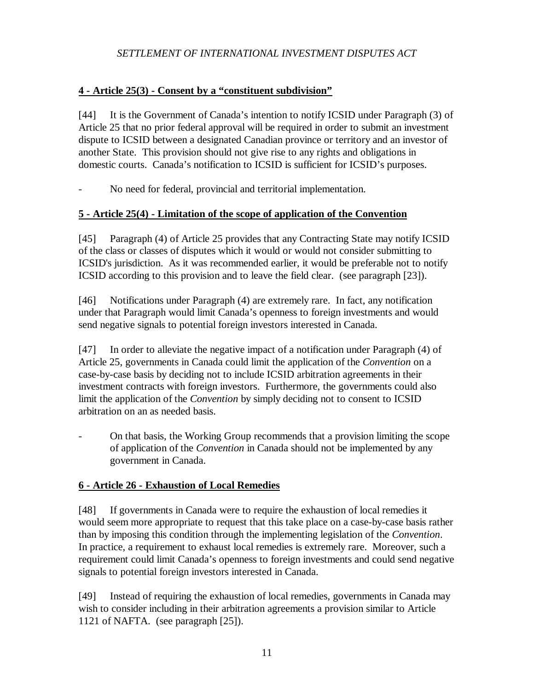### **4 - Article 25(3) - Consent by a "constituent subdivision"**

[44] It is the Government of Canada's intention to notify ICSID under Paragraph (3) of Article 25 that no prior federal approval will be required in order to submit an investment dispute to ICSID between a designated Canadian province or territory and an investor of another State. This provision should not give rise to any rights and obligations in domestic courts. Canada's notification to ICSID is sufficient for ICSID's purposes.

No need for federal, provincial and territorial implementation.

## **5 - Article 25(4) - Limitation of the scope of application of the Convention**

[45] Paragraph (4) of Article 25 provides that any Contracting State may notify ICSID of the class or classes of disputes which it would or would not consider submitting to ICSID's jurisdiction. As it was recommended earlier, it would be preferable not to notify ICSID according to this provision and to leave the field clear. (see paragraph [23]).

[46] Notifications under Paragraph (4) are extremely rare. In fact, any notification under that Paragraph would limit Canada's openness to foreign investments and would send negative signals to potential foreign investors interested in Canada.

[47] In order to alleviate the negative impact of a notification under Paragraph (4) of Article 25, governments in Canada could limit the application of the *Convention* on a case-by-case basis by deciding not to include ICSID arbitration agreements in their investment contracts with foreign investors. Furthermore, the governments could also limit the application of the *Convention* by simply deciding not to consent to ICSID arbitration on an as needed basis.

- On that basis, the Working Group recommends that a provision limiting the scope of application of the *Convention* in Canada should not be implemented by any government in Canada.

# **6 - Article 26 - Exhaustion of Local Remedies**

[48] If governments in Canada were to require the exhaustion of local remedies it would seem more appropriate to request that this take place on a case-by-case basis rather than by imposing this condition through the implementing legislation of the *Convention*. In practice, a requirement to exhaust local remedies is extremely rare. Moreover, such a requirement could limit Canada's openness to foreign investments and could send negative signals to potential foreign investors interested in Canada.

[49] Instead of requiring the exhaustion of local remedies, governments in Canada may wish to consider including in their arbitration agreements a provision similar to Article 1121 of NAFTA. (see paragraph [25]).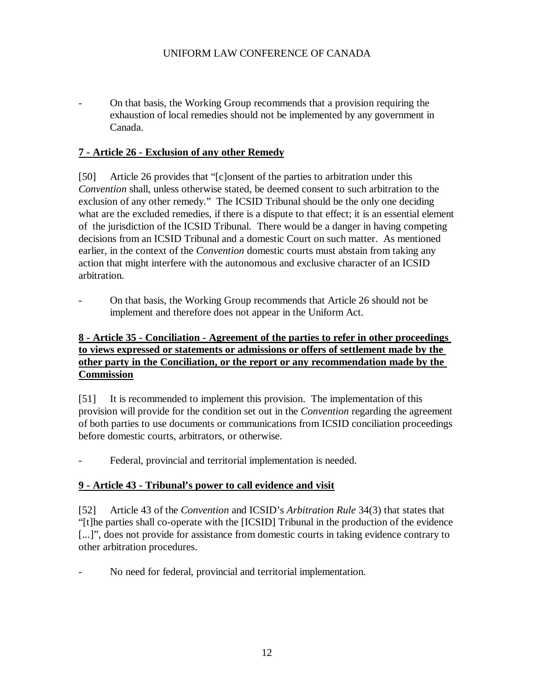- On that basis, the Working Group recommends that a provision requiring the exhaustion of local remedies should not be implemented by any government in Canada.

#### **7 - Article 26 - Exclusion of any other Remedy**

[50] Article 26 provides that "[c]onsent of the parties to arbitration under this *Convention* shall, unless otherwise stated, be deemed consent to such arbitration to the exclusion of any other remedy." The ICSID Tribunal should be the only one deciding what are the excluded remedies, if there is a dispute to that effect; it is an essential element of the jurisdiction of the ICSID Tribunal. There would be a danger in having competing decisions from an ICSID Tribunal and a domestic Court on such matter. As mentioned earlier, in the context of the *Convention* domestic courts must abstain from taking any action that might interfere with the autonomous and exclusive character of an ICSID arbitration.

- On that basis, the Working Group recommends that Article 26 should not be implement and therefore does not appear in the Uniform Act.

### **8 - Article 35 - Conciliation - Agreement of the parties to refer in other proceedings to views expressed or statements or admissions or offers of settlement made by the other party in the Conciliation, or the report or any recommendation made by the Commission**

[51] It is recommended to implement this provision. The implementation of this provision will provide for the condition set out in the *Convention* regarding the agreement of both parties to use documents or communications from ICSID conciliation proceedings before domestic courts, arbitrators, or otherwise.

Federal, provincial and territorial implementation is needed.

#### **9 - Article 43 - Tribunal's power to call evidence and visit**

[52] Article 43 of the *Convention* and ICSID's *Arbitration Rule* 34(3) that states that "[t]he parties shall co-operate with the [ICSID] Tribunal in the production of the evidence [...]", does not provide for assistance from domestic courts in taking evidence contrary to other arbitration procedures.

No need for federal, provincial and territorial implementation.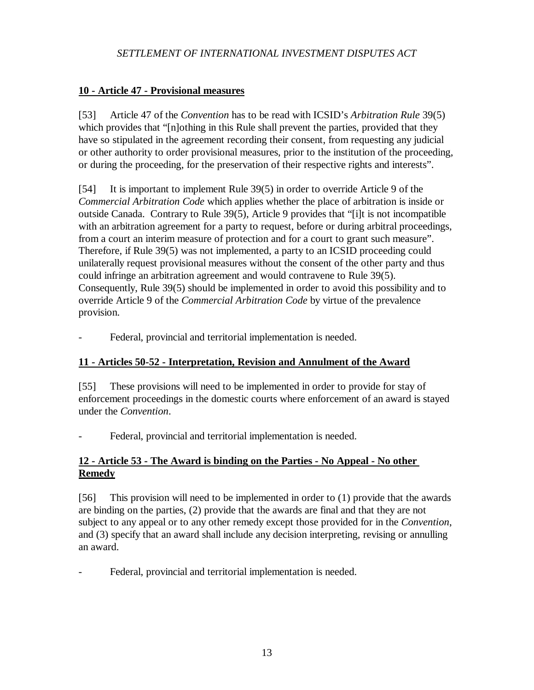### **10 - Article 47 - Provisional measures**

[53] Article 47 of the *Convention* has to be read with ICSID's *Arbitration Rule* 39(5) which provides that "[n]othing in this Rule shall prevent the parties, provided that they have so stipulated in the agreement recording their consent, from requesting any judicial or other authority to order provisional measures, prior to the institution of the proceeding, or during the proceeding, for the preservation of their respective rights and interests".

[54] It is important to implement Rule 39(5) in order to override Article 9 of the *Commercial Arbitration Code* which applies whether the place of arbitration is inside or outside Canada. Contrary to Rule 39(5), Article 9 provides that "[i]t is not incompatible with an arbitration agreement for a party to request, before or during arbitral proceedings, from a court an interim measure of protection and for a court to grant such measure". Therefore, if Rule 39(5) was not implemented, a party to an ICSID proceeding could unilaterally request provisional measures without the consent of the other party and thus could infringe an arbitration agreement and would contravene to Rule 39(5). Consequently, Rule 39(5) should be implemented in order to avoid this possibility and to override Article 9 of the *Commercial Arbitration Code* by virtue of the prevalence provision.

Federal, provincial and territorial implementation is needed.

### **11 - Articles 50-52 - Interpretation, Revision and Annulment of the Award**

[55] These provisions will need to be implemented in order to provide for stay of enforcement proceedings in the domestic courts where enforcement of an award is stayed under the *Convention*.

Federal, provincial and territorial implementation is needed.

### **12 - Article 53 - The Award is binding on the Parties - No Appeal - No other Remedy**

[56] This provision will need to be implemented in order to (1) provide that the awards are binding on the parties, (2) provide that the awards are final and that they are not subject to any appeal or to any other remedy except those provided for in the *Convention*, and (3) specify that an award shall include any decision interpreting, revising or annulling an award.

Federal, provincial and territorial implementation is needed.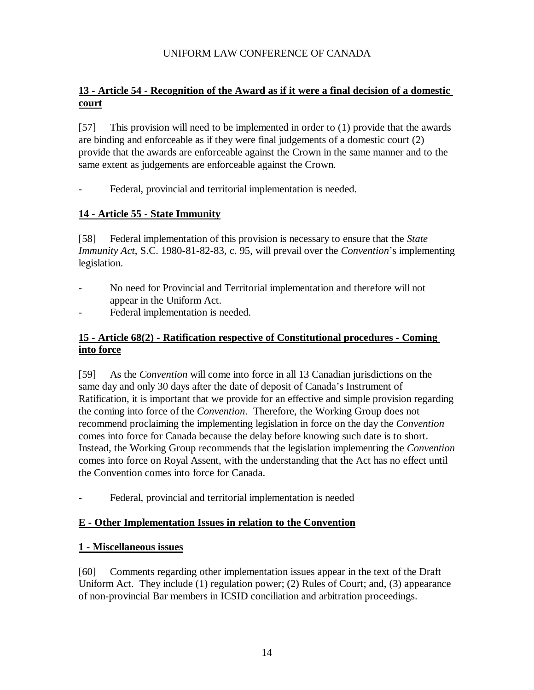# **13 - Article 54 - Recognition of the Award as if it were a final decision of a domestic court**

[57] This provision will need to be implemented in order to (1) provide that the awards are binding and enforceable as if they were final judgements of a domestic court (2) provide that the awards are enforceable against the Crown in the same manner and to the same extent as judgements are enforceable against the Crown.

- Federal, provincial and territorial implementation is needed.

### **14 - Article 55 - State Immunity**

[58] Federal implementation of this provision is necessary to ensure that the *State Immunity Act*, S.C. 1980-81-82-83, c. 95, will prevail over the *Convention*'s implementing legislation.

- No need for Provincial and Territorial implementation and therefore will not appear in the Uniform Act.
- Federal implementation is needed.

### **15 - Article 68(2) - Ratification respective of Constitutional procedures - Coming into force**

[59] As the *Convention* will come into force in all 13 Canadian jurisdictions on the same day and only 30 days after the date of deposit of Canada's Instrument of Ratification, it is important that we provide for an effective and simple provision regarding the coming into force of the *Convention*. Therefore, the Working Group does not recommend proclaiming the implementing legislation in force on the day the *Convention* comes into force for Canada because the delay before knowing such date is to short. Instead, the Working Group recommends that the legislation implementing the *Convention* comes into force on Royal Assent, with the understanding that the Act has no effect until the Convention comes into force for Canada.

Federal, provincial and territorial implementation is needed

### **E - Other Implementation Issues in relation to the Convention**

#### **1 - Miscellaneous issues**

[60] Comments regarding other implementation issues appear in the text of the Draft Uniform Act. They include (1) regulation power; (2) Rules of Court; and, (3) appearance of non-provincial Bar members in ICSID conciliation and arbitration proceedings.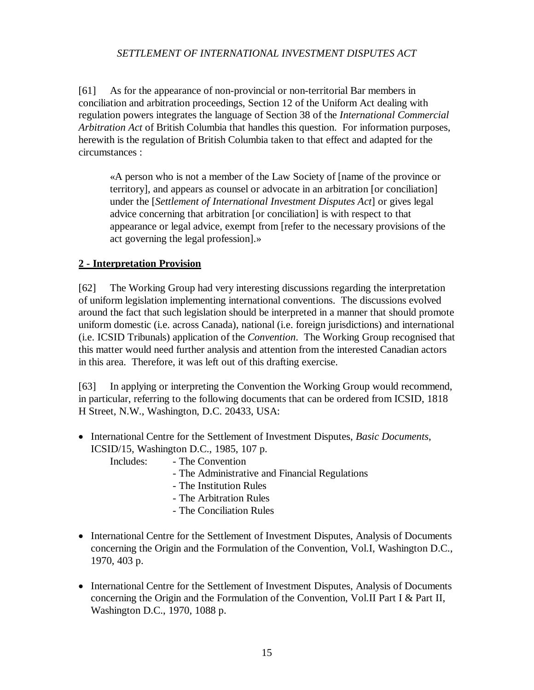[61] As for the appearance of non-provincial or non-territorial Bar members in conciliation and arbitration proceedings, Section 12 of the Uniform Act dealing with regulation powers integrates the language of Section 38 of the *International Commercial Arbitration Act* of British Columbia that handles this question. For information purposes, herewith is the regulation of British Columbia taken to that effect and adapted for the circumstances :

«A person who is not a member of the Law Society of [name of the province or territory], and appears as counsel or advocate in an arbitration [or conciliation] under the [*Settlement of International Investment Disputes Act*] or gives legal advice concerning that arbitration [or conciliation] is with respect to that appearance or legal advice, exempt from [refer to the necessary provisions of the act governing the legal profession].»

## **2 - Interpretation Provision**

[62] The Working Group had very interesting discussions regarding the interpretation of uniform legislation implementing international conventions. The discussions evolved around the fact that such legislation should be interpreted in a manner that should promote uniform domestic (i.e. across Canada), national (i.e. foreign jurisdictions) and international (i.e. ICSID Tribunals) application of the *Convention*. The Working Group recognised that this matter would need further analysis and attention from the interested Canadian actors in this area. Therefore, it was left out of this drafting exercise.

[63] In applying or interpreting the Convention the Working Group would recommend, in particular, referring to the following documents that can be ordered from ICSID, 1818 H Street, N.W., Washington, D.C. 20433, USA:

• International Centre for the Settlement of Investment Disputes, *Basic Documents*, ICSID/15, Washington D.C., 1985, 107 p.

Includes: - The Convention

- The Administrative and Financial Regulations
- The Institution Rules
- The Arbitration Rules
- The Conciliation Rules
- International Centre for the Settlement of Investment Disputes, Analysis of Documents concerning the Origin and the Formulation of the Convention, Vol.I, Washington D.C., 1970, 403 p.
- International Centre for the Settlement of Investment Disputes, Analysis of Documents concerning the Origin and the Formulation of the Convention, Vol.II Part I & Part II, Washington D.C., 1970, 1088 p.